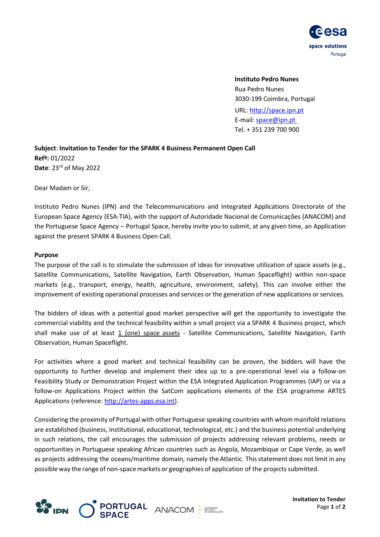

**Instituto Pedro Nunes** Rua Pedro Nunes 3030-199 Coimbra, Portugal URL: [http://space.ipn.pt](http://space.ipn.pt/) E-mail: space@ipn.pt Tel. + 351 239 700 900

**Subject**: **Invitation to Tender for the SPARK 4 Business Permanent Open Call Refª:** 01/2022 **Date**: 23 rd of May 2022

Dear Madam or Sir,

Instituto Pedro Nunes (IPN) and the Telecommunications and Integrated Applications Directorate of the European Space Agency (ESA-TIA), with the support of Autoridade Nacional de Comunicações (ANACOM) and the Portuguese Space Agency – Portugal Space, hereby invite you to submit, at any given time, an Application against the present SPARK 4 Business Open Call.

#### **Purpose**

The purpose of the call is to stimulate the submission of ideas for innovative utilization of space assets (e.g., Satellite Communications, Satellite Navigation, Earth Observation, Human Spaceflight) within non-space markets (e.g., transport, energy, health, agriculture, environment, safety). This can involve either the improvement of existing operational processes and services or the generation of new applications or services.

The bidders of ideas with a potential good market perspective will get the opportunity to investigate the commercial viability and the technical feasibility within a small project via a SPARK 4 Business project, which shall make use of at least 1 (one) space assets - Satellite Communications, Satellite Navigation, Earth Observation, Human Spaceflight.

For activities where a good market and technical feasibility can be proven, the bidders will have the opportunity to further develop and implement their idea up to a pre-operational level via a follow-on Feasibility Study or Demonstration Project within the ESA Integrated Application Programmes (IAP) or via a follow-on Applications Project within the SatCom applications elements of the ESA programme ARTES Applications (reference[: http://artes-apps.esa.int\)](http://artes-apps.esa.int/).

Considering the proximity of Portugal with other Portuguese speaking countries with whom manifold relations are established (business, institutional, educational, technological, etc.) and the business potential underlying in such relations, the call encourages the submission of projects addressing relevant problems, needs or opportunities in Portuguese speaking African countries such as Angola, Mozambique or Cape Verde, as well as projects addressing the oceans/maritime domain, namely the Atlantic. Thisstatement does not limit in any possible way the range of non-spacemarkets or geographies of application of the projects submitted.



**Invitation to Tender** Page **1** of **2**